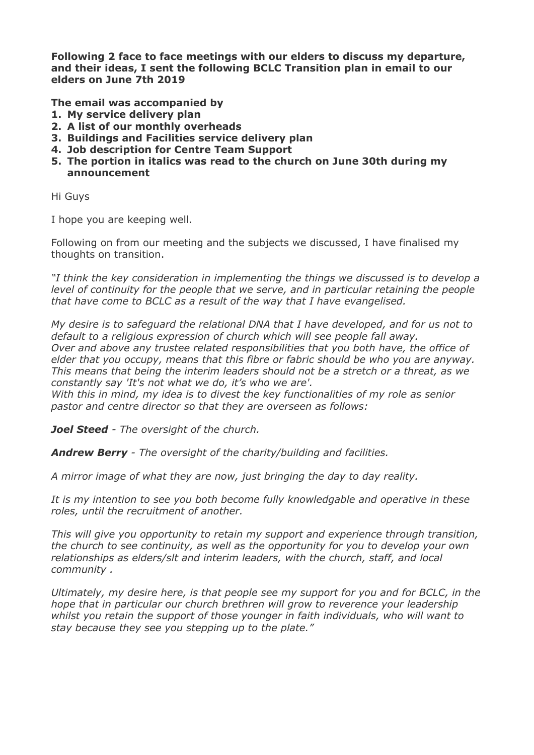**Following 2 face to face meetings with our elders to discuss my departure, and their ideas, I sent the following BCLC Transition plan in email to our elders on June 7th 2019** 

**The email was accompanied by** 

- **1. My service delivery plan**
- **2. A list of our monthly overheads**
- **3. Buildings and Facilities service delivery plan**
- **4. Job description for Centre Team Support**
- **5. The portion in italics was read to the church on June 30th during my announcement**

Hi Guys

I hope you are keeping well.

Following on from our meeting and the subjects we discussed, I have finalised my thoughts on transition.

*"I think the key consideration in implementing the things we discussed is to develop a level of continuity for the people that we serve, and in particular retaining the people that have come to BCLC as a result of the way that I have evangelised.* 

*My desire is to safeguard the relational DNA that I have developed, and for us not to default to a religious expression of church which will see people fall away. Over and above any trustee related responsibilities that you both have, the office of elder that you occupy, means that this fibre or fabric should be who you are anyway. This means that being the interim leaders should not be a stretch or a threat, as we constantly say 'It's not what we do, it's who we are'.* 

*With this in mind, my idea is to divest the key functionalities of my role as senior pastor and centre director so that they are overseen as follows:* 

*Joel Steed - The oversight of the church.* 

*Andrew Berry - The oversight of the charity/building and facilities.* 

*A mirror image of what they are now, just bringing the day to day reality.* 

*It is my intention to see you both become fully knowledgable and operative in these roles, until the recruitment of another.* 

*This will give you opportunity to retain my support and experience through transition, the church to see continuity, as well as the opportunity for you to develop your own relationships as elders/slt and interim leaders, with the church, staff, and local community .* 

*Ultimately, my desire here, is that people see my support for you and for BCLC, in the hope that in particular our church brethren will grow to reverence your leadership whilst you retain the support of those younger in faith individuals, who will want to stay because they see you stepping up to the plate."*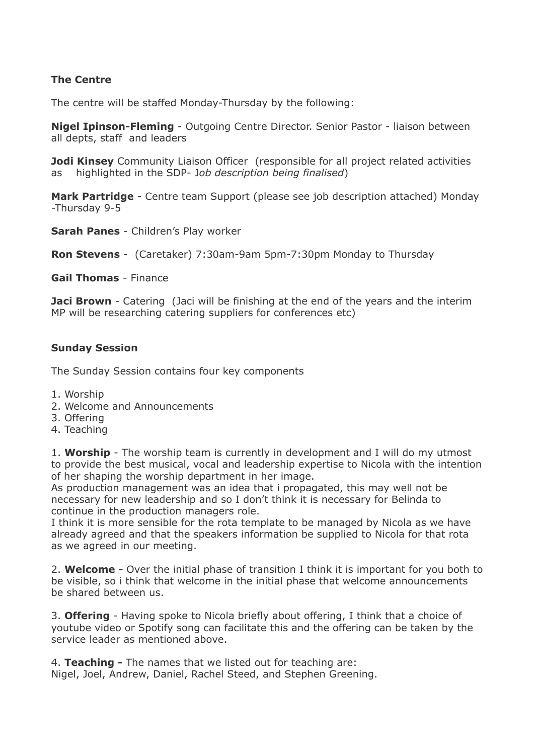## **The Centre**

The centre will be staffed Monday-Thursday by the following:

**Nigel Ipinson-Fleming** - Outgoing Centre Director. Senior Pastor - liaison between all depts, staff and leaders

**Jodi Kinsey** Community Liaison Officer (responsible for all project related activities as highlighted in the SDP- J*ob description being finalised*)

**Mark Partridge** - Centre team Support (please see job description attached) Monday -Thursday 9-5

**Sarah Panes** - Children's Play worker

**Ron Stevens** - (Caretaker) 7:30am-9am 5pm-7:30pm Monday to Thursday

**Gail Thomas** - Finance

**Jaci Brown** - Catering (Jaci will be finishing at the end of the years and the interim MP will be researching catering suppliers for conferences etc)

## **Sunday Session**

The Sunday Session contains four key components

- 1. Worship
- 2. Welcome and Announcements
- 3. Offering
- 4. Teaching

1. **Worship** - The worship team is currently in development and I will do my utmost to provide the best musical, vocal and leadership expertise to Nicola with the intention of her shaping the worship department in her image.

As production management was an idea that i propagated, this may well not be necessary for new leadership and so I don't think it is necessary for Belinda to continue in the production managers role.

I think it is more sensible for the rota template to be managed by Nicola as we have already agreed and that the speakers information be supplied to Nicola for that rota as we agreed in our meeting.

2. **Welcome -** Over the initial phase of transition I think it is important for you both to be visible, so i think that welcome in the initial phase that welcome announcements be shared between us.

3. **Offering** - Having spoke to Nicola briefly about offering, I think that a choice of youtube video or Spotify song can facilitate this and the offering can be taken by the service leader as mentioned above.

4. **Teaching -** The names that we listed out for teaching are: Nigel, Joel, Andrew, Daniel, Rachel Steed, and Stephen Greening.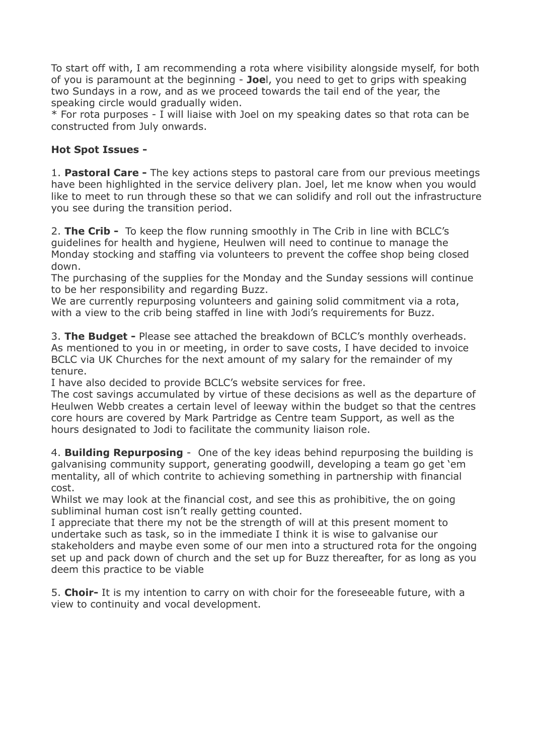To start off with, I am recommending a rota where visibility alongside myself, for both of you is paramount at the beginning - **Joe**l, you need to get to grips with speaking two Sundays in a row, and as we proceed towards the tail end of the year, the speaking circle would gradually widen.

\* For rota purposes - I will liaise with Joel on my speaking dates so that rota can be constructed from July onwards.

## **Hot Spot Issues -**

1. **Pastoral Care -** The key actions steps to pastoral care from our previous meetings have been highlighted in the service delivery plan. Joel, let me know when you would like to meet to run through these so that we can solidify and roll out the infrastructure you see during the transition period.

2. **The Crib -** To keep the flow running smoothly in The Crib in line with BCLC's guidelines for health and hygiene, Heulwen will need to continue to manage the Monday stocking and staffing via volunteers to prevent the coffee shop being closed down.

The purchasing of the supplies for the Monday and the Sunday sessions will continue to be her responsibility and regarding Buzz.

We are currently repurposing volunteers and gaining solid commitment via a rota, with a view to the crib being staffed in line with Jodi's requirements for Buzz.

3. **The Budget -** Please see attached the breakdown of BCLC's monthly overheads. As mentioned to you in or meeting, in order to save costs, I have decided to invoice BCLC via UK Churches for the next amount of my salary for the remainder of my tenure.

I have also decided to provide BCLC's website services for free.

The cost savings accumulated by virtue of these decisions as well as the departure of Heulwen Webb creates a certain level of leeway within the budget so that the centres core hours are covered by Mark Partridge as Centre team Support, as well as the hours designated to Jodi to facilitate the community liaison role.

4. **Building Repurposing** - One of the key ideas behind repurposing the building is galvanising community support, generating goodwill, developing a team go get 'em mentality, all of which contrite to achieving something in partnership with financial cost.

Whilst we may look at the financial cost, and see this as prohibitive, the on going subliminal human cost isn't really getting counted.

I appreciate that there my not be the strength of will at this present moment to undertake such as task, so in the immediate I think it is wise to galvanise our stakeholders and maybe even some of our men into a structured rota for the ongoing set up and pack down of church and the set up for Buzz thereafter, for as long as you deem this practice to be viable

5. **Choir-** It is my intention to carry on with choir for the foreseeable future, with a view to continuity and vocal development.